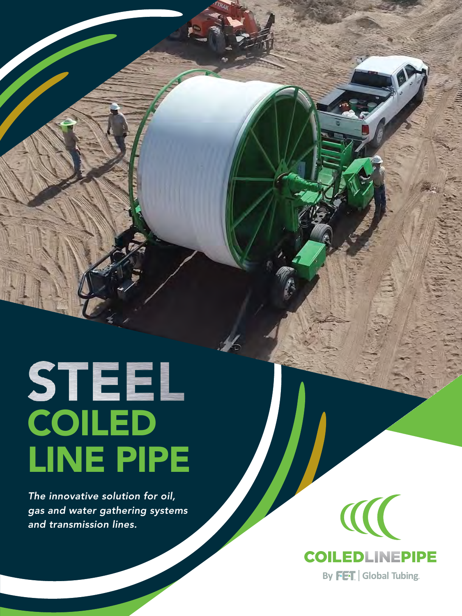# STEEL<br>COILED LINE PIPE

*The innovative solution for oil, gas and water gathering systems and transmission lines.*

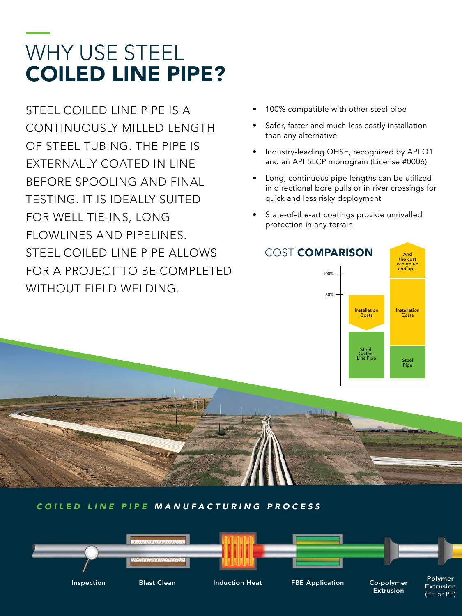# WHY USE STEEL COILED LINE PIPE?

STEEL COILED LINE PIPE IS A CONTINUOUSLY MILLED LENGTH OF STEEL TUBING. THE PIPE IS EXTERNALLY COATED IN LINE BEFORE SPOOLING AND FINAL TESTING. IT IS IDEALLY SUITED FOR WELL TIE-INS, LONG FLOWLINES AND PIPELINES. STEEL COILED LINE PIPE ALLOWS FOR A PROJECT TO BE COMPLETED WITHOUT FIELD WELDING.

- 100% compatible with other steel pipe
- Safer, faster and much less costly installation than any alternative
- Industry-leading QHSE, recognized by API Q1 and an API 5LCP monogram (License #0006)
- Long, continuous pipe lengths can be utilized in directional bore pulls or in river crossings for quick and less risky deployment
- State-of-the-art coatings provide unrivalled protection in any terrain



(PE or PP)

COILED LINE PIPE MANUFACTURING PROCESS

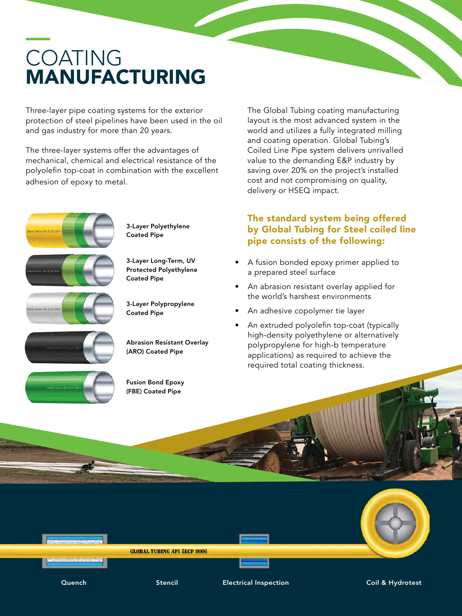# COATING MANUFACTURING

Three-layer pipe coating systems for the exterior protection of steel pipelines have been used in the oil and gas industry for more than 20 years.

The three-layer systems offer the advantages of mechanical, chemical and electrical resistance of the polyolefin top-coat in combination with the excellent adhesion of epoxy to metal.



3-Layer Polyethylene Coated Pipe

3-Layer Long-Term, UV Protected Polyethylene Coated Pipe





Abrasion Resistant Overlay (ARO) Coated Pipe



Fusion Bond Epoxy (FBE) Coated Pipe

The Global Tubing coating manufacturing layout is the most advanced system in the world and utilizes a fully integrated milling and coating operation. Global Tubing's Coiled Line Pipe system delivers unrivalled value to the demanding E&P industry by saving over 20% on the project's installed cost and not compromising on quality, delivery or HSEQ impact.

#### The standard system being offered by Global Tubing for Steel coiled line pipe consists of the following:

- A fusion bonded epoxy primer applied to a prepared steel surface
- An abrasion resistant overlay applied for the world's harshest environments
- An adhesive copolymer tie layer
- An extruded polyolefin top-coat (typically high-density polyethylene or alternatively polypropylene for high-b temperature applications) as required to achieve the required total coating thickness.

**GLOBAL TUBING API 5LCP 0006** 

Quench Stencil Electrical Inspection Coil & Hydrotest